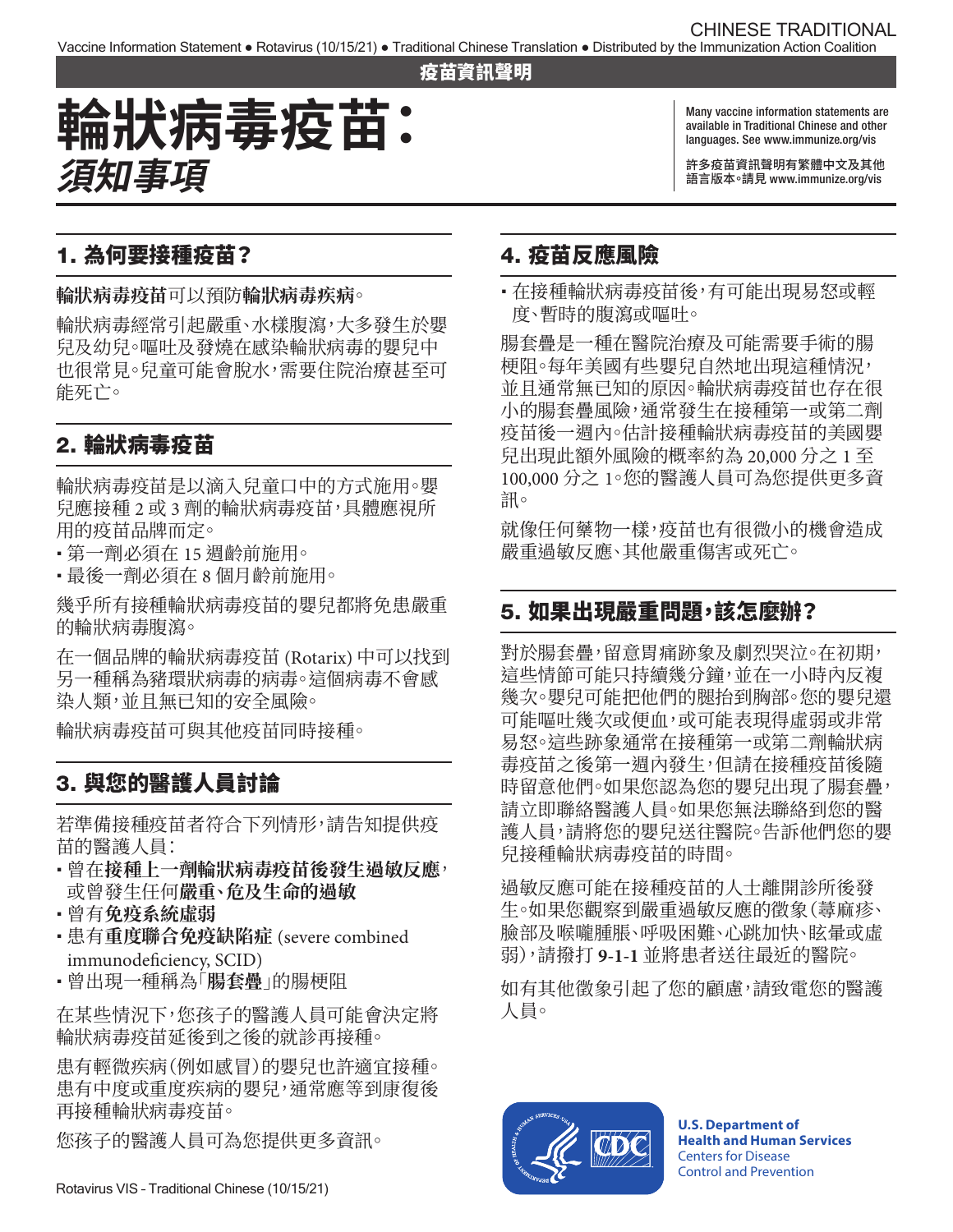#### 疫苗資訊聲明

# **輪狀病毒疫苗: 須知事項**

Many vaccine information statements are available in Traditional Chinese and other languages. See [www.immunize.org/vis](http://www.immunize.org/vis)

許多疫苗資訊聲明有繁體中文及其他 語言版本。請見 [www.immunize.org/vis](http://www.immunize.org/vis)

## 1. 為何要接種疫苗?

**輪狀病毒疫苗**可以預防**輪狀病毒疾病**。

輪狀病毒經常引起嚴重、水樣腹瀉,大多發生於嬰 兒及幼兒。嘔吐及發燒在感染輪狀病毒的嬰兒中 也很常見。兒童可能會脫水,需要住院治療甚至可 能死亡。

## 2. 輪狀病毒疫苗

輪狀病毒疫苗是以滴入兒童口中的方式施用。嬰 兒應接種 2 或 3 劑的輪狀病毒疫苗,具體應視所 用的疫苗品牌而定。

- � 第一劑必須在 15 週齡前施用。
- � 最後一劑必須在 8 個月齡前施用。

幾乎所有接種輪狀病毒疫苗的嬰兒都將免患嚴重 的輪狀病毒腹瀉。

在一個品牌的輪狀病毒疫苗 (Rotarix) 中可以找到 另一種稱為豬環狀病毒的病毒。這個病毒不會感 染人類,並且無已知的安全風險。

輪狀病毒疫苗可與其他疫苗同時接種。

## 3. 與您的醫護人員討論

若準備接種疫苗者符合下列情形,請告知提供疫 苗的醫護人員:

- 曾在接種上一劑輪狀病毒疫苗後發生過敏反應<sup>,</sup> 或曾發生任何**嚴重、危及生命的過敏**
- 曾有**免疫系統虛弱**
- � 患有**重度聯合免疫缺陷症** (severe combined immunodeficiency, SCID)
- � 曾出現一種稱為「**腸套疊**」的腸梗阻

在某些情況下,您孩子的醫護人員可能會決定將 輪狀病毒疫苗延後到之後的就診再接種。

患有輕微疾病(例如感冒)的嬰兒也許適宜接種。 患有中度或重度疾病的嬰兒,通常應等到康復後 再接種輪狀病毒疫苗。

您孩子的醫護人員可為您提供更多資訊。

### 4. 疫苗反應風險

• 在接種輪狀病毒疫苗後,有可能出現易怒或輕 度、暫時的腹瀉或嘔吐。

腸套疊是一種在醫院治療及可能需要手術的腸 梗阻。每年美國有些嬰兒自然地出現這種情況, 並且通常無已知的原因。輪狀病毒疫苗也存在很 小的腸套疊風險,通常發生在接種第一或第二劑 疫苗後一週內。估計接種輪狀病毒疫苗的美國嬰 兒出現此額外風險的概率約為 20,000 分之 1 至 100,000 分之 1。您的醫護人員可為您提供更多資 訊。

就像任何藥物一樣,疫苗也有很微小的機會造成 嚴重過敏反應、其他嚴重傷害或死亡。

### 5. 如果出現嚴重問題,該怎麼辦?

對於腸套疊,留意胃痛跡象及劇烈哭泣。在初期, 這些情節可能只持續幾分鐘,並在一小時內反複 幾次。嬰兒可能把他們的腿抬到胸部。您的嬰兒還 可能嘔吐幾次或便血,或可能表現得虛弱或非常 易怒。這些跡象通常在接種第一或第二劑輪狀病 毒疫苗之後第一週內發生,但請在接種疫苗後隨 時留意他們。如果您認為您的嬰兒出現了腸套疊, 請立即聯絡醫護人員。如果您無法聯絡到您的醫 護人員,請將您的嬰兒送往醫院。告訴他們您的嬰 兒接種輪狀病毒疫苗的時間。

過敏反應可能在接種疫苗的人士離開診所後發 生。如果您觀察到嚴重過敏反應的徵象(蕁麻疹、 臉部及喉嚨腫脹、呼吸困難、心跳加快、眩暈或虛 弱),請撥打 **9-1-1** 並將患者送往最近的醫院。

如有其他徵象引起了您的顧慮,請致電您的醫護 人員。



**U.S. Department of Health and Human Services**  Centers for Disease Control and Prevention